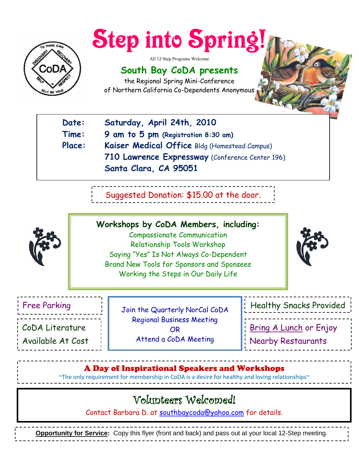

# **Step into Spring**

All 12-Step Programs Welcome

## **South Bay CoDA presents**

the Regional Spring Mini-Conference of Northern California Co-Dependents Anonymous

| Date:  | Saturday, April 24th, 2010                      |
|--------|-------------------------------------------------|
| Time:  | 9 am to 5 pm (Registration 8:30 am)             |
| Place: | Kaiser Medical Office Bldg (Homestead Campus)   |
|        | 710 Lawrence Expressway (Conference Center 196) |
|        | Santa Clara, CA 95051                           |
|        |                                                 |

Suggested Donation: \$15.00 at the door.



**Workshops by CoDA Members, including:** Compassionate Communication Relationship Tools Workshop Saying "Yes" Is Not Always Co-Dependent Brand New Tools for Sponsors and Sponsees Working the Steps in Our Daily Life



Onsite CoDA Literature

Available At Cost

Join the Quarterly NorCal CoDA Regional Business Meeting OR Attend a CoDA Meeting

Free Parking  $\|\cdot\|$  Tain the Quenterly NepCal Cand  $\|\cdot\|$  Healthy Snacks Provided Bring A Lunch or Enjoy Nearby Restaurants

## A Day of Inspirational Speakers and Workshops

~The only requirement for membership in CoDA is a desire for healthy and loving relationships

## Volunteers Welcomed!

Contact Barbara D. at [southbaycoda@yahoo.com](mailto:southbaycoda@yahoo.com) for details.

**Opportunity for Service:** Copy this flyer (front and back) and pass out at your local 12-Step meeting.